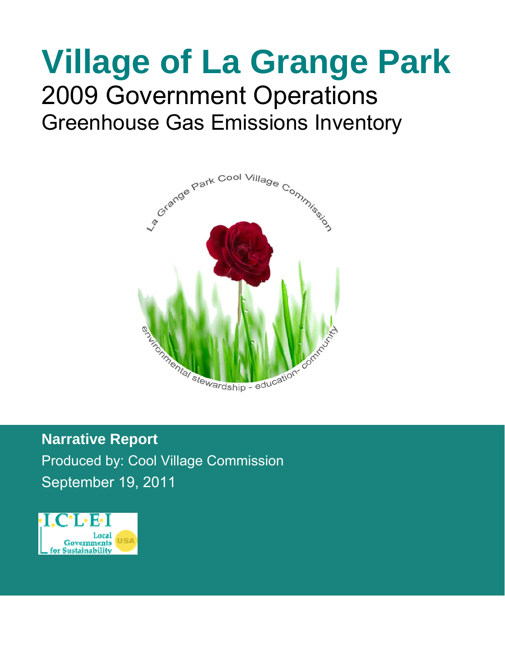## **Village of La Grange Park**  2009 Government Operations Greenhouse Gas Emissions Inventory



**Narrative Report**  Produced by: Cool Village Commission September 19, 2011

**DRDRAFT DRR** 

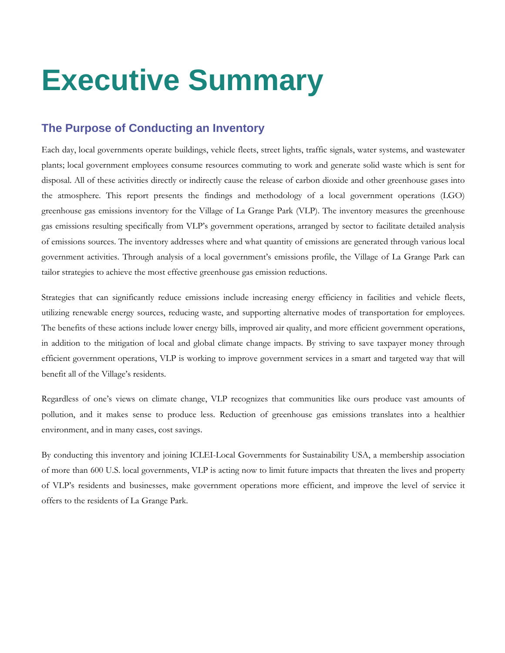## **Executive Summary**

### **The Purpose of Conducting an Inventory**

Each day, local governments operate buildings, vehicle fleets, street lights, traffic signals, water systems, and wastewater plants; local government employees consume resources commuting to work and generate solid waste which is sent for disposal. All of these activities directly or indirectly cause the release of carbon dioxide and other greenhouse gases into the atmosphere. This report presents the findings and methodology of a local government operations (LGO) greenhouse gas emissions inventory for the Village of La Grange Park (VLP). The inventory measures the greenhouse gas emissions resulting specifically from VLP's government operations, arranged by sector to facilitate detailed analysis of emissions sources. The inventory addresses where and what quantity of emissions are generated through various local government activities. Through analysis of a local government's emissions profile, the Village of La Grange Park can tailor strategies to achieve the most effective greenhouse gas emission reductions.

Strategies that can significantly reduce emissions include increasing energy efficiency in facilities and vehicle fleets, utilizing renewable energy sources, reducing waste, and supporting alternative modes of transportation for employees. The benefits of these actions include lower energy bills, improved air quality, and more efficient government operations, in addition to the mitigation of local and global climate change impacts. By striving to save taxpayer money through efficient government operations, VLP is working to improve government services in a smart and targeted way that will benefit all of the Village's residents.

Regardless of one's views on climate change, VLP recognizes that communities like ours produce vast amounts of pollution, and it makes sense to produce less. Reduction of greenhouse gas emissions translates into a healthier environment, and in many cases, cost savings.

By conducting this inventory and joining ICLEI-Local Governments for Sustainability USA, a membership association of more than 600 U.S. local governments, VLP is acting now to limit future impacts that threaten the lives and property of VLP's residents and businesses, make government operations more efficient, and improve the level of service it offers to the residents of La Grange Park.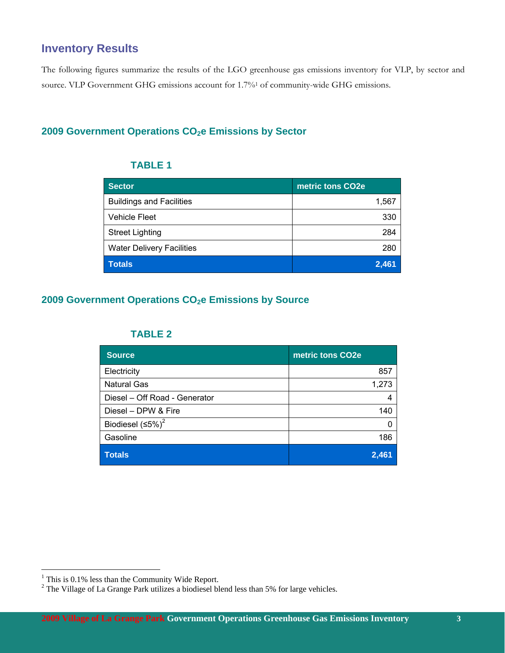## **Inventory Results**

The following figures summarize the results of the LGO greenhouse gas emissions inventory for VLP, by sector and source. VLP Government GHG emissions account for 1.7%1 of community-wide GHG emissions.

#### 2009 Government Operations CO<sub>2</sub>e Emissions by Sector

#### **TABLE 1**

| Sector                           | metric tons CO2e |
|----------------------------------|------------------|
| <b>Buildings and Facilities</b>  | 1,567            |
| <b>Vehicle Fleet</b>             | 330              |
| <b>Street Lighting</b>           | 284              |
| <b>Water Delivery Facilities</b> | 280              |
| <b>Totals</b>                    | 2,461            |

#### **2009 Government Operations CO<sub>2</sub>e Emissions by Source**

#### **TABLE 2**

| <b>Source</b>                 | metric tons CO2e |
|-------------------------------|------------------|
| Electricity                   | 857              |
| <b>Natural Gas</b>            | 1,273            |
| Diesel - Off Road - Generator | 4                |
| Diesel - DPW & Fire           | 140              |
| Biodiesel $(5\%)^2$           |                  |
| Gasoline                      | 186              |
| <b>Totals</b>                 | 2,461            |

 1 This is 0.1% less than the Community Wide Report.

 $2^2$  The Village of La Grange Park utilizes a biodiesel blend less than 5% for large vehicles.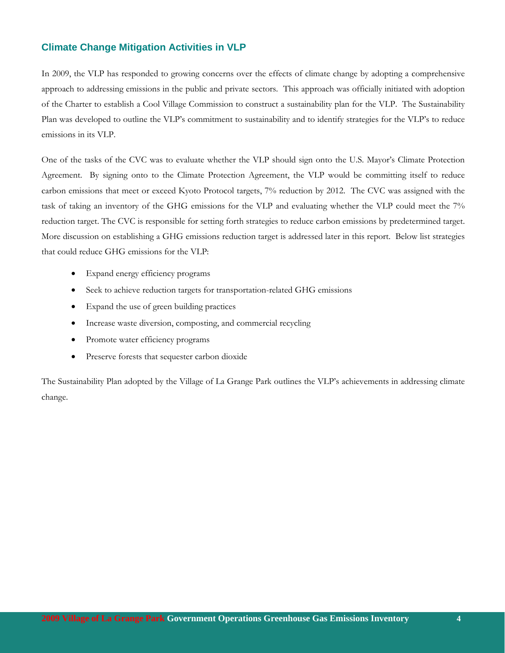#### **Climate Change Mitigation Activities in VLP**

In 2009, the VLP has responded to growing concerns over the effects of climate change by adopting a comprehensive approach to addressing emissions in the public and private sectors. This approach was officially initiated with adoption of the Charter to establish a Cool Village Commission to construct a sustainability plan for the VLP. The Sustainability Plan was developed to outline the VLP's commitment to sustainability and to identify strategies for the VLP's to reduce emissions in its VLP.

One of the tasks of the CVC was to evaluate whether the VLP should sign onto the U.S. Mayor's Climate Protection Agreement. By signing onto to the Climate Protection Agreement, the VLP would be committing itself to reduce carbon emissions that meet or exceed Kyoto Protocol targets, 7% reduction by 2012. The CVC was assigned with the task of taking an inventory of the GHG emissions for the VLP and evaluating whether the VLP could meet the 7% reduction target. The CVC is responsible for setting forth strategies to reduce carbon emissions by predetermined target. More discussion on establishing a GHG emissions reduction target is addressed later in this report. Below list strategies that could reduce GHG emissions for the VLP:

- Expand energy efficiency programs
- Seek to achieve reduction targets for transportation-related GHG emissions
- Expand the use of green building practices
- Increase waste diversion, composting, and commercial recycling
- Promote water efficiency programs
- Preserve forests that sequester carbon dioxide

The Sustainability Plan adopted by the Village of La Grange Park outlines the VLP's achievements in addressing climate change.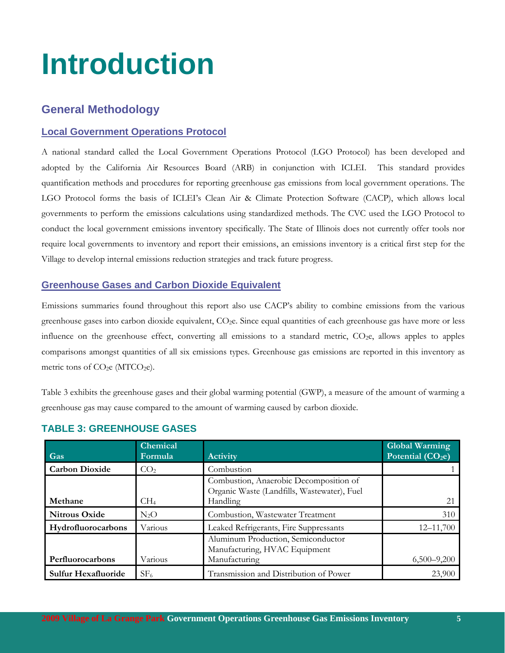# **Introduction**

## **General Methodology**

#### **Local Government Operations Protocol**

A national standard called the Local Government Operations Protocol (LGO Protocol) has been developed and adopted by the California Air Resources Board (ARB) in conjunction with ICLEI. This standard provides quantification methods and procedures for reporting greenhouse gas emissions from local government operations. The LGO Protocol forms the basis of ICLEI's Clean Air & Climate Protection Software (CACP), which allows local governments to perform the emissions calculations using standardized methods. The CVC used the LGO Protocol to conduct the local government emissions inventory specifically. The State of Illinois does not currently offer tools nor require local governments to inventory and report their emissions, an emissions inventory is a critical first step for the Village to develop internal emissions reduction strategies and track future progress.

#### **Greenhouse Gases and Carbon Dioxide Equivalent**

Emissions summaries found throughout this report also use CACP's ability to combine emissions from the various greenhouse gases into carbon dioxide equivalent, CO2e. Since equal quantities of each greenhouse gas have more or less influence on the greenhouse effect, converting all emissions to a standard metric,  $CO<sub>2</sub>e$ , allows apples to apples comparisons amongst quantities of all six emissions types. Greenhouse gas emissions are reported in this inventory as metric tons of  $CO<sub>2</sub>e$  (MTCO<sub>2</sub>e).

Table 3 exhibits the greenhouse gases and their global warming potential (GWP), a measure of the amount of warming a greenhouse gas may cause compared to the amount of warming caused by carbon dioxide.

| Gas                        | Chemical<br>Formula | <b>Activity</b>                                                                                          | <b>Global Warming</b><br>Potential (CO <sub>2</sub> e) |
|----------------------------|---------------------|----------------------------------------------------------------------------------------------------------|--------------------------------------------------------|
| <b>Carbon Dioxide</b>      | CO <sub>2</sub>     | Combustion                                                                                               |                                                        |
| Methane                    | CH <sub>4</sub>     | Combustion, Anaerobic Decomposition of<br>Organic Waste (Landfills, Wastewater), Fuel<br><b>Handling</b> | 21                                                     |
|                            |                     |                                                                                                          |                                                        |
| <b>Nitrous Oxide</b>       | $N_2O$              | Combustion, Wastewater Treatment                                                                         | 310                                                    |
| Hydrofluorocarbons         | Various             | Leaked Refrigerants, Fire Suppressants                                                                   | $12 - 11,700$                                          |
| Perfluorocarbons           | Various             | Aluminum Production, Semiconductor<br>Manufacturing, HVAC Equipment<br>Manufacturing                     | $6,500 - 9,200$                                        |
|                            |                     |                                                                                                          |                                                        |
| <b>Sulfur Hexafluoride</b> | SF <sub>6</sub>     | Transmission and Distribution of Power                                                                   | 23,900                                                 |

#### **TABLE 3: GREENHOUSE GASES**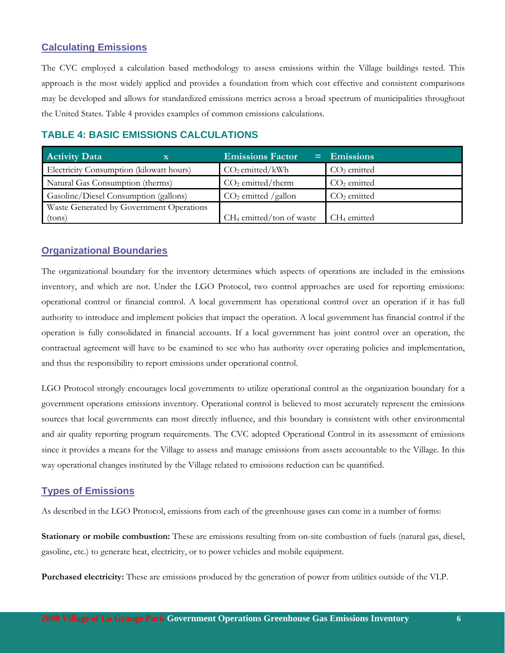#### **Calculating Emissions**

The CVC employed a calculation based methodology to assess emissions within the Village buildings tested. This approach is the most widely applied and provides a foundation from which cost effective and consistent comparisons may be developed and allows for standardized emissions metrics across a broad spectrum of municipalities throughout the United States. Table 4 provides examples of common emissions calculations.

| APLE T. PAVIV EMIGOIOIQ VALVULATIONU     |   |                               |  |               |  |  |  |
|------------------------------------------|---|-------------------------------|--|---------------|--|--|--|
| <b>Activity Data</b>                     | X | <b>Emissions Factor</b>       |  | $=$ Emissions |  |  |  |
| Electricity Consumption (kilowatt hours) |   | CO <sub>2</sub> emitted/kWh   |  | $CO2$ emitted |  |  |  |
| Natural Gas Consumption (therms)         |   | CO <sub>2</sub> emitted/therm |  | $CO2$ emitted |  |  |  |
| Gasoline/Diesel Consumption (gallons)    |   | $CO2$ emitted /gallon         |  | $CO2$ emitted |  |  |  |

(tons)  $CH_4$  emitted/ton of waste  $CH_4$  emitted

#### **TABLE 4: BASIC EMISSIONS CALCULATIONS**

#### **Organizational Boundaries**

Waste Generated by Government Operations

The organizational boundary for the inventory determines which aspects of operations are included in the emissions inventory, and which are not. Under the LGO Protocol, two control approaches are used for reporting emissions: operational control or financial control. A local government has operational control over an operation if it has full authority to introduce and implement policies that impact the operation. A local government has financial control if the operation is fully consolidated in financial accounts. If a local government has joint control over an operation, the contractual agreement will have to be examined to see who has authority over operating policies and implementation, and thus the responsibility to report emissions under operational control.

LGO Protocol strongly encourages local governments to utilize operational control as the organization boundary for a government operations emissions inventory. Operational control is believed to most accurately represent the emissions sources that local governments can most directly influence, and this boundary is consistent with other environmental and air quality reporting program requirements. The CVC adopted Operational Control in its assessment of emissions since it provides a means for the Village to assess and manage emissions from assets accountable to the Village. In this way operational changes instituted by the Village related to emissions reduction can be quantified.

#### **Types of Emissions**

As described in the LGO Protocol, emissions from each of the greenhouse gases can come in a number of forms:

**Stationary or mobile combustion:** These are emissions resulting from on-site combustion of fuels (natural gas, diesel, gasoline, etc.) to generate heat, electricity, or to power vehicles and mobile equipment.

**Purchased electricity:** These are emissions produced by the generation of power from utilities outside of the VLP.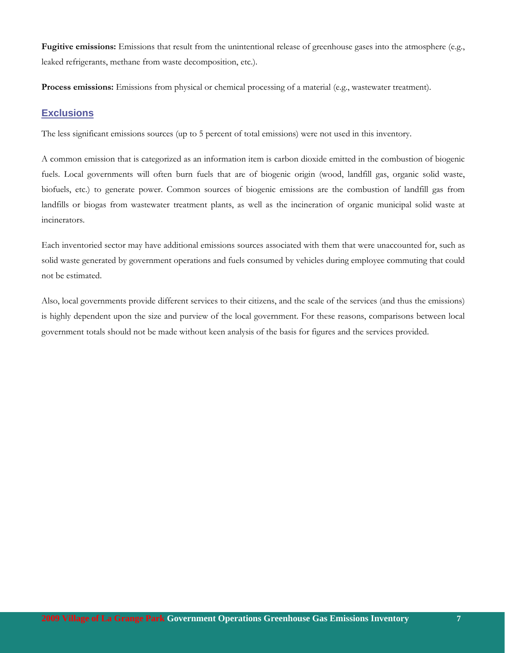**Fugitive emissions:** Emissions that result from the unintentional release of greenhouse gases into the atmosphere (e.g., leaked refrigerants, methane from waste decomposition, etc.).

**Process emissions:** Emissions from physical or chemical processing of a material (e.g., wastewater treatment).

#### **Exclusions**

The less significant emissions sources (up to 5 percent of total emissions) were not used in this inventory.

A common emission that is categorized as an information item is carbon dioxide emitted in the combustion of biogenic fuels. Local governments will often burn fuels that are of biogenic origin (wood, landfill gas, organic solid waste, biofuels, etc.) to generate power. Common sources of biogenic emissions are the combustion of landfill gas from landfills or biogas from wastewater treatment plants, as well as the incineration of organic municipal solid waste at incinerators.

Each inventoried sector may have additional emissions sources associated with them that were unaccounted for, such as solid waste generated by government operations and fuels consumed by vehicles during employee commuting that could not be estimated.

Also, local governments provide different services to their citizens, and the scale of the services (and thus the emissions) is highly dependent upon the size and purview of the local government. For these reasons, comparisons between local government totals should not be made without keen analysis of the basis for figures and the services provided.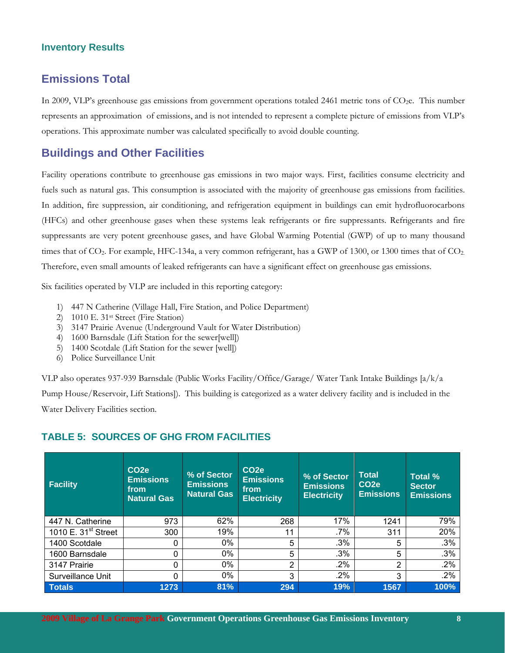#### **Inventory Results**

#### **Emissions Total**

In 2009, VLP's greenhouse gas emissions from government operations totaled 2461 metric tons of CO<sub>2</sub>e. This number represents an approximation of emissions, and is not intended to represent a complete picture of emissions from VLP's operations. This approximate number was calculated specifically to avoid double counting.

#### **Buildings and Other Facilities**

Facility operations contribute to greenhouse gas emissions in two major ways. First, facilities consume electricity and fuels such as natural gas. This consumption is associated with the majority of greenhouse gas emissions from facilities. In addition, fire suppression, air conditioning, and refrigeration equipment in buildings can emit hydrofluorocarbons (HFCs) and other greenhouse gases when these systems leak refrigerants or fire suppressants. Refrigerants and fire suppressants are very potent greenhouse gases, and have Global Warming Potential (GWP) of up to many thousand times that of  $CO_2$ . For example, HFC-134a, a very common refrigerant, has a GWP of 1300, or 1300 times that of  $CO_2$ . Therefore, even small amounts of leaked refrigerants can have a significant effect on greenhouse gas emissions.

Six facilities operated by VLP are included in this reporting category:

- 1) 447 N Catherine (Village Hall, Fire Station, and Police Department)
- 2) 1010 E. 31st Street (Fire Station)
- 3) 3147 Prairie Avenue (Underground Vault for Water Distribution)
- 4) 1600 Barnsdale (Lift Station for the sewer[well])
- 5) 1400 Scotdale (Lift Station for the sewer [well])
- 6) Police Surveillance Unit

VLP also operates 937-939 Barnsdale (Public Works Facility/Office/Garage/ Water Tank Intake Buildings [a/k/a Pump House/Reservoir, Lift Stations]). This building is categorized as a water delivery facility and is included in the Water Delivery Facilities section.

#### **TABLE 5: SOURCES OF GHG FROM FACILITIES**

| <b>Facility</b>       | CO <sub>2e</sub><br><b>Emissions</b><br>from<br><b>Natural Gas</b> | % of Sector<br><b>Emissions</b><br><b>Natural Gas</b> | CO <sub>2e</sub><br><b>Emissions</b><br>from<br><b>Electricity</b> | % of Sector<br><b>Emissions</b><br><b>Electricity</b> | <b>Total</b><br>CO <sub>2e</sub><br><b>Emissions</b> | Total %<br><b>Sector</b><br><b>Emissions</b> |
|-----------------------|--------------------------------------------------------------------|-------------------------------------------------------|--------------------------------------------------------------------|-------------------------------------------------------|------------------------------------------------------|----------------------------------------------|
| 447 N. Catherine      | 973                                                                | 62%                                                   | 268                                                                | 17%                                                   | 1241                                                 | 79%                                          |
| 1010 E. $31st$ Street | 300                                                                | 19%                                                   | 11                                                                 | .7%                                                   | 311                                                  | 20%                                          |
| 1400 Scotdale         | 0                                                                  | $0\%$                                                 | 5                                                                  | .3%                                                   | 5                                                    | .3%                                          |
| 1600 Barnsdale        | 0                                                                  | $0\%$                                                 | 5                                                                  | .3%                                                   | 5                                                    | .3%                                          |
| 3147 Prairie          | 0                                                                  | $0\%$                                                 | 2                                                                  | .2%                                                   | 2                                                    | .2%                                          |
| Surveillance Unit     | $\Omega$                                                           | 0%                                                    | 3                                                                  | .2%                                                   | 3                                                    | .2%                                          |
| <b>Totals</b>         | 1273                                                               | 81%                                                   | 294                                                                | 19%                                                   | 1567                                                 | 100%                                         |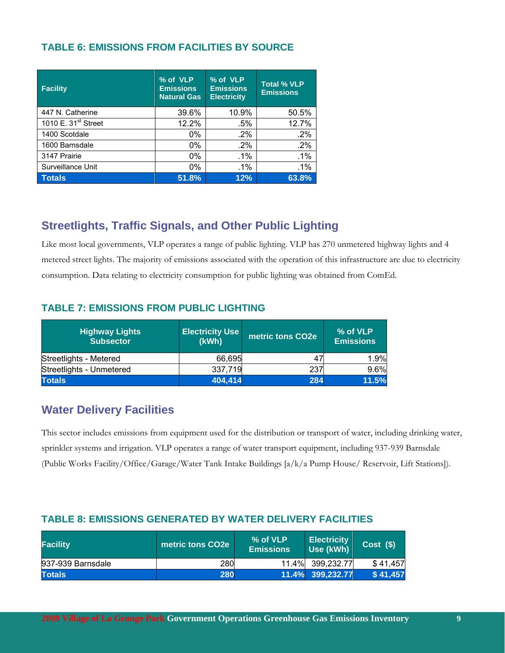#### **TABLE 6: EMISSIONS FROM FACILITIES BY SOURCE**

| <b>Facility</b>                 | % of VLP<br><b>Emissions</b><br><b>Natural Gas</b> | % of VLP<br><b>Emissions</b><br><b>Electricity</b> | <b>Total % VLP</b><br><b>Emissions</b> |  |
|---------------------------------|----------------------------------------------------|----------------------------------------------------|----------------------------------------|--|
| 447 N. Catherine                | 39.6%                                              | 10.9%                                              | 50.5%                                  |  |
| 1010 E. 31 <sup>st</sup> Street | 12.2%                                              | $.5\%$                                             | 12.7%                                  |  |
| 1400 Scotdale                   | 0%                                                 | .2%                                                | .2%                                    |  |
| 1600 Barnsdale                  | 0%                                                 | $.2\%$                                             | .2%                                    |  |
| 3147 Prairie                    | 0%                                                 | .1%                                                | .1%                                    |  |
| Surveillance Unit               | 0%                                                 | .1%                                                | .1%                                    |  |
| <b>Totals</b>                   | 51.8%                                              | 12%                                                | 63.8%                                  |  |

## **Streetlights, Traffic Signals, and Other Public Lighting**

Like most local governments, VLP operates a range of public lighting. VLP has 270 unmetered highway lights and 4 metered street lights. The majority of emissions associated with the operation of this infrastructure are due to electricity consumption. Data relating to electricity consumption for public lighting was obtained from ComEd.

#### **TABLE 7: EMISSIONS FROM PUBLIC LIGHTING**

| <b>Highway Lights</b><br><b>Subsector</b> | <b>Electricity Use</b><br>(kWh) | metric tons CO <sub>2</sub> e | % of VLP<br><b>Emissions</b> |
|-------------------------------------------|---------------------------------|-------------------------------|------------------------------|
| Streetlights - Metered                    | 66,695                          | 47                            | 1.9%                         |
| Streetlights - Unmetered                  | 337,719                         | 237                           | 9.6%                         |
| <b>Totals</b>                             | 404,414                         | 284                           | 11.5%                        |

### **Water Delivery Facilities**

This sector includes emissions from equipment used for the distribution or transport of water, including drinking water, sprinkler systems and irrigation. VLP operates a range of water transport equipment, including 937-939 Barnsdale (Public Works Facility/Office/Garage/Water Tank Intake Buildings [a/k/a Pump House/ Reservoir, Lift Stations]).

#### **TABLE 8: EMISSIONS GENERATED BY WATER DELIVERY FACILITIES**

| <b>Facility</b>   | metric tons CO2e | % of VLP<br><b>Emissions</b> | <b>Electricity</b><br>Use (kWh) | $Cost ($\)$ |
|-------------------|------------------|------------------------------|---------------------------------|-------------|
| 937-939 Barnsdale | 280              |                              | 11.4% 399,232.77                | \$41.457    |
| <b>Totals</b>     | 280              |                              | 11.4% 399,232.77                | \$41,457    |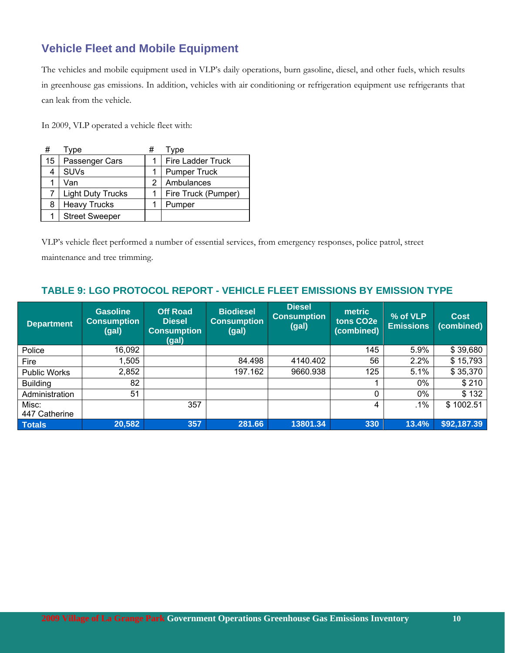## **Vehicle Fleet and Mobile Equipment**

The vehicles and mobile equipment used in VLP's daily operations, burn gasoline, diesel, and other fuels, which results in greenhouse gas emissions. In addition, vehicles with air conditioning or refrigeration equipment use refrigerants that can leak from the vehicle.

In 2009, VLP operated a vehicle fleet with:

| #  | Type                     | # | Type                |
|----|--------------------------|---|---------------------|
| 15 | Passenger Cars           |   | Fire Ladder Truck   |
| 4  | <b>SUVs</b>              |   | <b>Pumper Truck</b> |
|    | Van                      | 2 | Ambulances          |
|    | <b>Light Duty Trucks</b> |   | Fire Truck (Pumper) |
| 8  | <b>Heavy Trucks</b>      |   | Pumper              |
|    | <b>Street Sweeper</b>    |   |                     |

VLP's vehicle fleet performed a number of essential services, from emergency responses, police patrol, street

maintenance and tree trimming.

#### **TABLE 9: LGO PROTOCOL REPORT - VEHICLE FLEET EMISSIONS BY EMISSION TYPE**

| <b>Department</b>   | <b>Gasoline</b><br><b>Consumption</b><br>(gal) | <b>Off Road</b><br><b>Diesel</b><br><b>Consumption</b><br>(gal) | <b>Biodiesel</b><br><b>Consumption</b><br>(gal) | <b>Diesel</b><br><b>Consumption</b><br>(gal) | metric<br>tons CO <sub>2</sub> e<br>(combined) | % of VLP<br><b>Emissions</b> | <b>Cost</b><br>(combined) |
|---------------------|------------------------------------------------|-----------------------------------------------------------------|-------------------------------------------------|----------------------------------------------|------------------------------------------------|------------------------------|---------------------------|
| Police              | 16,092                                         |                                                                 |                                                 |                                              | 145                                            | 5.9%                         | \$39,680                  |
| Fire                | ,505                                           |                                                                 | 84.498                                          | 4140.402                                     | 56                                             | 2.2%                         | \$15,793                  |
| <b>Public Works</b> | 2,852                                          |                                                                 | 197.162                                         | 9660.938                                     | 125                                            | 5.1%                         | \$35,370                  |
| <b>Building</b>     | 82                                             |                                                                 |                                                 |                                              |                                                | 0%                           | \$210                     |
| Administration      | 51                                             |                                                                 |                                                 |                                              | 0                                              | 0%                           | \$132                     |
| Misc:               |                                                | 357                                                             |                                                 |                                              | 4                                              | $.1\%$                       | \$1002.51                 |
| 447 Catherine       |                                                |                                                                 |                                                 |                                              |                                                |                              |                           |
| <b>Totals</b>       | 20,582                                         | 357                                                             | 281.66                                          | 13801.34                                     | 330                                            | 13.4%                        | \$92,187.39               |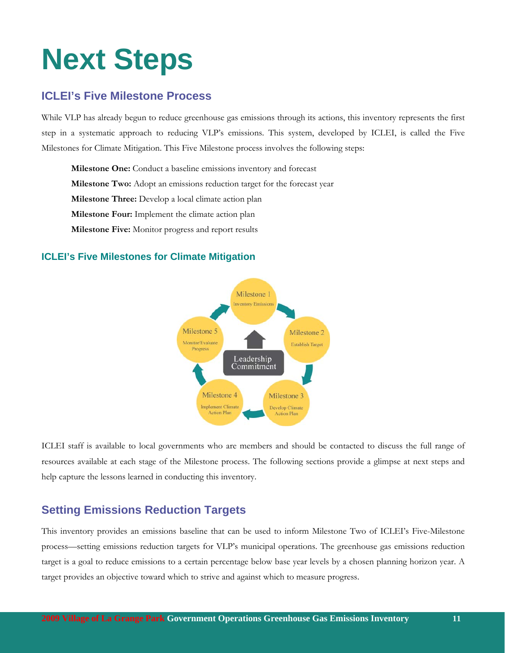# **Next Steps**

## **ICLEI's Five Milestone Process**

While VLP has already begun to reduce greenhouse gas emissions through its actions, this inventory represents the first step in a systematic approach to reducing VLP's emissions. This system, developed by ICLEI, is called the Five Milestones for Climate Mitigation. This Five Milestone process involves the following steps:

**Milestone One:** Conduct a baseline emissions inventory and forecast **Milestone Two:** Adopt an emissions reduction target for the forecast year **Milestone Three:** Develop a local climate action plan **Milestone Four:** Implement the climate action plan **Milestone Five:** Monitor progress and report results

#### **ICLEI's Five Milestones for Climate Mitigation**



ICLEI staff is available to local governments who are members and should be contacted to discuss the full range of resources available at each stage of the Milestone process. The following sections provide a glimpse at next steps and help capture the lessons learned in conducting this inventory.

## **Setting Emissions Reduction Targets**

This inventory provides an emissions baseline that can be used to inform Milestone Two of ICLEI's Five-Milestone process—setting emissions reduction targets for VLP's municipal operations. The greenhouse gas emissions reduction target is a goal to reduce emissions to a certain percentage below base year levels by a chosen planning horizon year. A target provides an objective toward which to strive and against which to measure progress.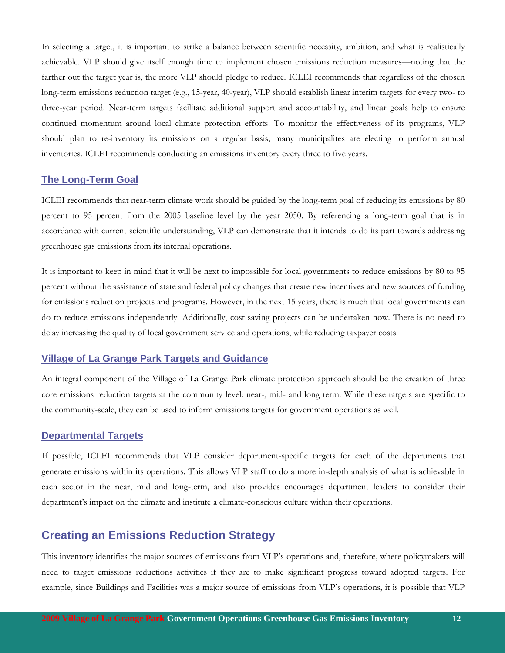In selecting a target, it is important to strike a balance between scientific necessity, ambition, and what is realistically achievable. VLP should give itself enough time to implement chosen emissions reduction measures—noting that the farther out the target year is, the more VLP should pledge to reduce. ICLEI recommends that regardless of the chosen long-term emissions reduction target (e.g., 15-year, 40-year), VLP should establish linear interim targets for every two- to three-year period. Near-term targets facilitate additional support and accountability, and linear goals help to ensure continued momentum around local climate protection efforts. To monitor the effectiveness of its programs, VLP should plan to re-inventory its emissions on a regular basis; many municipalites are electing to perform annual inventories. ICLEI recommends conducting an emissions inventory every three to five years.

#### **The Long-Term Goal**

ICLEI recommends that near-term climate work should be guided by the long-term goal of reducing its emissions by 80 percent to 95 percent from the 2005 baseline level by the year 2050. By referencing a long-term goal that is in accordance with current scientific understanding, VLP can demonstrate that it intends to do its part towards addressing greenhouse gas emissions from its internal operations.

It is important to keep in mind that it will be next to impossible for local governments to reduce emissions by 80 to 95 percent without the assistance of state and federal policy changes that create new incentives and new sources of funding for emissions reduction projects and programs. However, in the next 15 years, there is much that local governments can do to reduce emissions independently. Additionally, cost saving projects can be undertaken now. There is no need to delay increasing the quality of local government service and operations, while reducing taxpayer costs.

#### **Village of La Grange Park Targets and Guidance**

An integral component of the Village of La Grange Park climate protection approach should be the creation of three core emissions reduction targets at the community level: near-, mid- and long term. While these targets are specific to the community-scale, they can be used to inform emissions targets for government operations as well.

#### **Departmental Targets**

If possible, ICLEI recommends that VLP consider department-specific targets for each of the departments that generate emissions within its operations. This allows VLP staff to do a more in-depth analysis of what is achievable in each sector in the near, mid and long-term, and also provides encourages department leaders to consider their department's impact on the climate and institute a climate-conscious culture within their operations.

#### **Creating an Emissions Reduction Strategy**

This inventory identifies the major sources of emissions from VLP's operations and, therefore, where policymakers will need to target emissions reductions activities if they are to make significant progress toward adopted targets. For example, since Buildings and Facilities was a major source of emissions from VLP's operations, it is possible that VLP